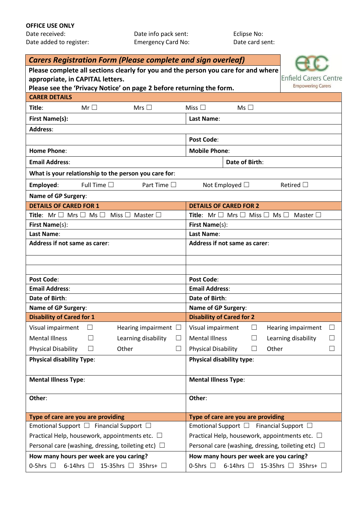| <b>Carers Registration Form (Please complete and sign overleaf)</b>                |                                                                    |  |  |  |  |
|------------------------------------------------------------------------------------|--------------------------------------------------------------------|--|--|--|--|
| Please complete all sections clearly for you and the person you care for and where |                                                                    |  |  |  |  |
| appropriate, in CAPITAL letters.                                                   | <b>Enfield Carers Centre</b><br><b>Empowering Carers</b>           |  |  |  |  |
| Please see the 'Privacy Notice' on page 2 before returning the form.               |                                                                    |  |  |  |  |
| <b>CARER DETAILS</b>                                                               |                                                                    |  |  |  |  |
| Mr $\Box$<br>Mrs $\Box$<br>Title:                                                  | Miss $\square$<br>Ms <sup>1</sup>                                  |  |  |  |  |
| <b>First Name(s):</b>                                                              | Last Name:                                                         |  |  |  |  |
| <b>Address:</b>                                                                    |                                                                    |  |  |  |  |
|                                                                                    | <b>Post Code:</b>                                                  |  |  |  |  |
| <b>Home Phone:</b>                                                                 | <b>Mobile Phone:</b>                                               |  |  |  |  |
| <b>Email Address:</b>                                                              | Date of Birth:                                                     |  |  |  |  |
| What is your relationship to the person you care for:                              |                                                                    |  |  |  |  |
| Full Time $\square$<br>Part Time $\square$<br>Employed:                            | Not Employed $\Box$<br>Retired $\square$                           |  |  |  |  |
| Name of GP Surgery:                                                                |                                                                    |  |  |  |  |
| <b>DETAILS OF CARED FOR 1</b>                                                      | <b>DETAILS OF CARED FOR 2</b>                                      |  |  |  |  |
| Title: $Mr \Box Mr \Box$ Ms $\Box$<br>Miss $\square$<br>Master $\square$           | Title: $Mr \Box Mr \Box$ Miss $\Box$ Ms $\Box$<br>Master $\square$ |  |  |  |  |
| <b>First Name(s):</b>                                                              | <b>First Name(s):</b>                                              |  |  |  |  |
| Last Name:                                                                         | Last Name:                                                         |  |  |  |  |
| Address if not same as carer:                                                      | Address if not same as carer:                                      |  |  |  |  |
|                                                                                    |                                                                    |  |  |  |  |
|                                                                                    |                                                                    |  |  |  |  |
| <b>Post Code:</b>                                                                  | <b>Post Code:</b>                                                  |  |  |  |  |
| <b>Email Address:</b>                                                              | <b>Email Address:</b>                                              |  |  |  |  |
| Date of Birth:                                                                     | Date of Birth:                                                     |  |  |  |  |
| <b>Name of GP Surgery:</b>                                                         | <b>Name of GP Surgery:</b>                                         |  |  |  |  |
| <b>Disability of Cared for 1</b>                                                   | <b>Disability of Cared for 2</b>                                   |  |  |  |  |
| Visual impairment<br>$\Box$<br>Hearing impairment $\Box$                           | Visual impairment<br>Hearing impairment<br>$\Box$<br>Ц             |  |  |  |  |
| <b>Mental Illness</b><br>Learning disability<br>Ш                                  | <b>Mental Illness</b><br>П<br>Learning disability<br>$\Box$        |  |  |  |  |
| <b>Physical Disability</b><br>Other<br>$\Box$<br>$\Box$                            | <b>Physical Disability</b><br>Other<br>$\Box$<br>$\Box$            |  |  |  |  |
| <b>Physical disability Type:</b>                                                   | <b>Physical disability type:</b>                                   |  |  |  |  |
|                                                                                    |                                                                    |  |  |  |  |
| <b>Mental Illness Type:</b>                                                        | <b>Mental Illness Type:</b>                                        |  |  |  |  |
| Other:                                                                             |                                                                    |  |  |  |  |
| Other:                                                                             |                                                                    |  |  |  |  |
| Type of care are you are providing                                                 | Type of care are you are providing                                 |  |  |  |  |
| Emotional Support $\Box$ Financial Support $\Box$                                  | Emotional Support $\Box$ Financial Support $\Box$                  |  |  |  |  |
| Practical Help, housework, appointments etc. $\square$                             | Practical Help, housework, appointments etc. $\Box$                |  |  |  |  |
| Personal care (washing, dressing, toileting etc) $\Box$                            | Personal care (washing, dressing, toileting etc) $\Box$            |  |  |  |  |
| How many hours per week are you caring?<br>How many hours per week are you caring? |                                                                    |  |  |  |  |
| 6-14hrs $\Box$<br>15-35hrs □ 35hrs+ □<br>0-5hrs $\Box$                             | 6-14hrs $\Box$<br>15-35hrs □ 35hrs+ □<br>0-5hrs $\Box$             |  |  |  |  |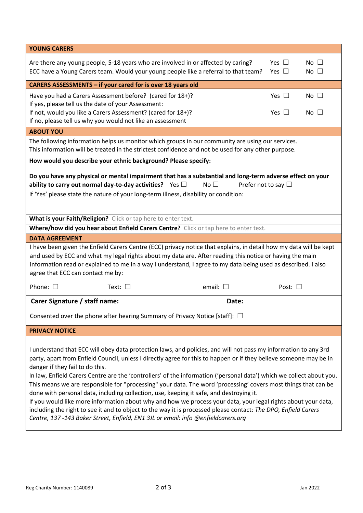| <b>YOUNG CARERS</b>                                                                                                                                                                                                                                                                                                                                                                                                                                                                                                                                                                                                                                                                                                                                                                                                                                                                                                                   |                                |                              |  |  |  |
|---------------------------------------------------------------------------------------------------------------------------------------------------------------------------------------------------------------------------------------------------------------------------------------------------------------------------------------------------------------------------------------------------------------------------------------------------------------------------------------------------------------------------------------------------------------------------------------------------------------------------------------------------------------------------------------------------------------------------------------------------------------------------------------------------------------------------------------------------------------------------------------------------------------------------------------|--------------------------------|------------------------------|--|--|--|
| Are there any young people, 5-18 years who are involved in or affected by caring?<br>ECC have a Young Carers team. Would your young people like a referral to that team?                                                                                                                                                                                                                                                                                                                                                                                                                                                                                                                                                                                                                                                                                                                                                              | Yes $\square$<br>Yes $\square$ | No $\square$<br>No $\square$ |  |  |  |
| CARERS ASSESSMENTS - if your cared for is over 18 years old                                                                                                                                                                                                                                                                                                                                                                                                                                                                                                                                                                                                                                                                                                                                                                                                                                                                           |                                |                              |  |  |  |
| Have you had a Carers Assessment before? (cared for 18+)?<br>If yes, please tell us the date of your Assessment:                                                                                                                                                                                                                                                                                                                                                                                                                                                                                                                                                                                                                                                                                                                                                                                                                      | Yes $\Box$                     | No $\square$                 |  |  |  |
| If not, would you like a Carers Assessment? (cared for 18+)?<br>If no, please tell us why you would not like an assessment                                                                                                                                                                                                                                                                                                                                                                                                                                                                                                                                                                                                                                                                                                                                                                                                            | Yes $\Box$                     | $No \Box$                    |  |  |  |
| <b>ABOUT YOU</b>                                                                                                                                                                                                                                                                                                                                                                                                                                                                                                                                                                                                                                                                                                                                                                                                                                                                                                                      |                                |                              |  |  |  |
| The following information helps us monitor which groups in our community are using our services.<br>This information will be treated in the strictest confidence and not be used for any other purpose.                                                                                                                                                                                                                                                                                                                                                                                                                                                                                                                                                                                                                                                                                                                               |                                |                              |  |  |  |
| How would you describe your ethnic background? Please specify:                                                                                                                                                                                                                                                                                                                                                                                                                                                                                                                                                                                                                                                                                                                                                                                                                                                                        |                                |                              |  |  |  |
| Do you have any physical or mental impairment that has a substantial and long-term adverse effect on your<br>ability to carry out normal day-to-day activities? Yes $\Box$<br>Prefer not to say $\Box$<br>No $\square$<br>If 'Yes' please state the nature of your long-term illness, disability or condition:                                                                                                                                                                                                                                                                                                                                                                                                                                                                                                                                                                                                                        |                                |                              |  |  |  |
| What is your Faith/Religion? Click or tap here to enter text.                                                                                                                                                                                                                                                                                                                                                                                                                                                                                                                                                                                                                                                                                                                                                                                                                                                                         |                                |                              |  |  |  |
| Where/how did you hear about Enfield Carers Centre? Click or tap here to enter text.                                                                                                                                                                                                                                                                                                                                                                                                                                                                                                                                                                                                                                                                                                                                                                                                                                                  |                                |                              |  |  |  |
| <b>DATA AGREEMENT</b>                                                                                                                                                                                                                                                                                                                                                                                                                                                                                                                                                                                                                                                                                                                                                                                                                                                                                                                 |                                |                              |  |  |  |
| I have been given the Enfield Carers Centre (ECC) privacy notice that explains, in detail how my data will be kept<br>and used by ECC and what my legal rights about my data are. After reading this notice or having the main<br>information read or explained to me in a way I understand, I agree to my data being used as described. I also<br>agree that ECC can contact me by:                                                                                                                                                                                                                                                                                                                                                                                                                                                                                                                                                  |                                |                              |  |  |  |
| Phone: $\square$<br>Text: $\square$<br>email: $\square$                                                                                                                                                                                                                                                                                                                                                                                                                                                                                                                                                                                                                                                                                                                                                                                                                                                                               | Post: $\Box$                   |                              |  |  |  |
| Carer Signature / staff name:<br>Date:                                                                                                                                                                                                                                                                                                                                                                                                                                                                                                                                                                                                                                                                                                                                                                                                                                                                                                |                                |                              |  |  |  |
| Consented over the phone after hearing Summary of Privacy Notice [staff]: $\square$                                                                                                                                                                                                                                                                                                                                                                                                                                                                                                                                                                                                                                                                                                                                                                                                                                                   |                                |                              |  |  |  |
| <b>PRIVACY NOTICE</b>                                                                                                                                                                                                                                                                                                                                                                                                                                                                                                                                                                                                                                                                                                                                                                                                                                                                                                                 |                                |                              |  |  |  |
| I understand that ECC will obey data protection laws, and policies, and will not pass my information to any 3rd<br>party, apart from Enfield Council, unless I directly agree for this to happen or if they believe someone may be in<br>danger if they fail to do this.<br>In law, Enfield Carers Centre are the 'controllers' of the information ('personal data') which we collect about you.<br>This means we are responsible for "processing" your data. The word 'processing' covers most things that can be<br>done with personal data, including collection, use, keeping it safe, and destroying it.<br>If you would like more information about why and how we process your data, your legal rights about your data,<br>including the right to see it and to object to the way it is processed please contact: The DPO, Enfield Carers<br>Centre, 137 -143 Baker Street, Enfield, EN1 3JL or email: info @enfieldcarers.org |                                |                              |  |  |  |